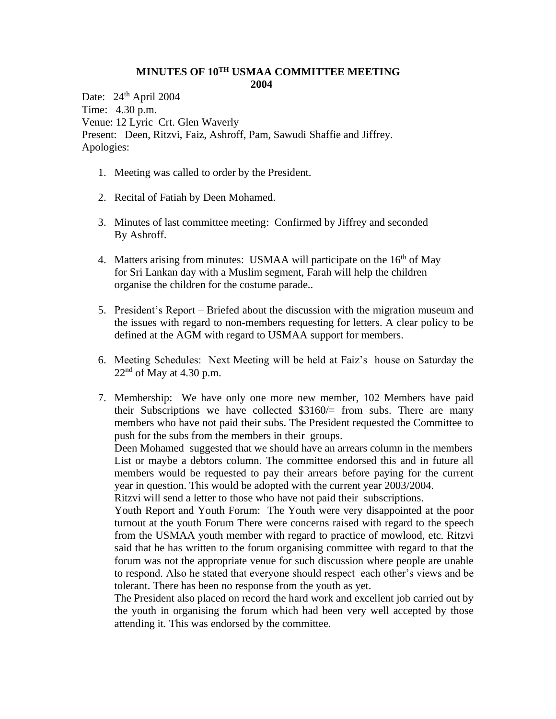## **MINUTES OF 10TH USMAA COMMITTEE MEETING 2004**

Date: 24<sup>th</sup> April 2004 Time: 4.30 p.m. Venue: 12 Lyric Crt. Glen Waverly Present: Deen, Ritzvi, Faiz, Ashroff, Pam, Sawudi Shaffie and Jiffrey. Apologies:

- 1. Meeting was called to order by the President.
- 2. Recital of Fatiah by Deen Mohamed.
- 3. Minutes of last committee meeting: Confirmed by Jiffrey and seconded By Ashroff.
- 4. Matters arising from minutes: USMAA will participate on the  $16<sup>th</sup>$  of May for Sri Lankan day with a Muslim segment, Farah will help the children organise the children for the costume parade..
- 5. President's Report Briefed about the discussion with the migration museum and the issues with regard to non-members requesting for letters. A clear policy to be defined at the AGM with regard to USMAA support for members.
- 6. Meeting Schedules: Next Meeting will be held at Faiz's house on Saturday the  $22<sup>nd</sup>$  of May at 4.30 p.m.
- 7. Membership: We have only one more new member, 102 Members have paid their Subscriptions we have collected  $$3160/$  from subs. There are many members who have not paid their subs. The President requested the Committee to push for the subs from the members in their groups.

Deen Mohamed suggested that we should have an arrears column in the members List or maybe a debtors column. The committee endorsed this and in future all members would be requested to pay their arrears before paying for the current year in question. This would be adopted with the current year 2003/2004.

Ritzvi will send a letter to those who have not paid their subscriptions.

Youth Report and Youth Forum: The Youth were very disappointed at the poor turnout at the youth Forum There were concerns raised with regard to the speech from the USMAA youth member with regard to practice of mowlood, etc. Ritzvi said that he has written to the forum organising committee with regard to that the forum was not the appropriate venue for such discussion where people are unable to respond. Also he stated that everyone should respect each other's views and be tolerant. There has been no response from the youth as yet.

The President also placed on record the hard work and excellent job carried out by the youth in organising the forum which had been very well accepted by those attending it. This was endorsed by the committee.